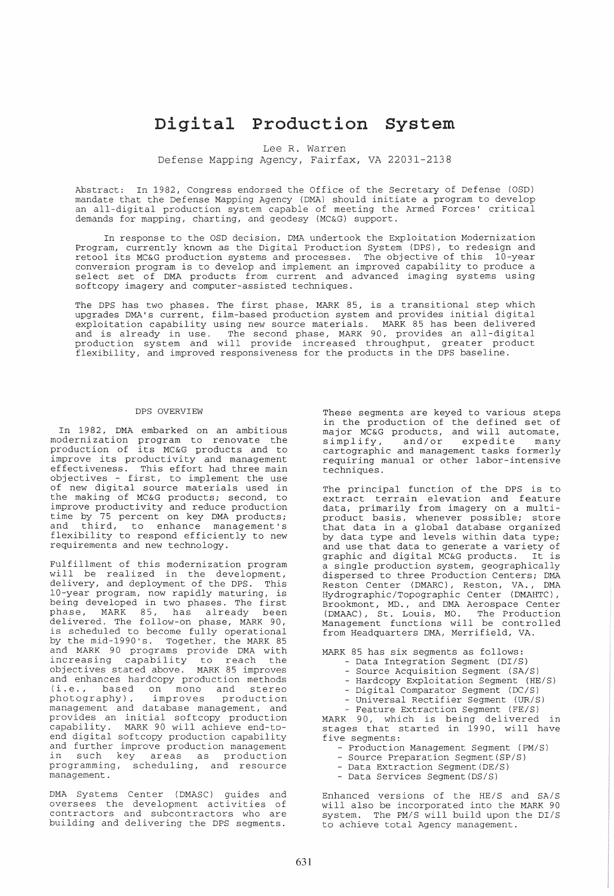# Digital Production System

Lee R. Warren

Defense Mapping Agency, Fairfax, VA 22031-2138

Abstract: In 1982, Congress endorsed the Office of the Secretary of Defense (OSD) mandate that the Defense Mapping Agency (DMA) should initiate a program to develop an all-digital production system capable of meeting the Armed Forces' critical demands for mapping, charting, and geodesy (MC&G) support.

In response to the OSD decision, DMA undertook the Exploitation Modernization Program, currently known as the Digital Production System (DPS) , to redesign and retool its MC&G production systems and processes. The objective of this 10-year conversion program is to develop and implement an improved capability to produce a select set of DMA products from current and advanced imaging systems using softcopy imagery and computer-assisted techniques.

The DPS has two phases. The first phase, MARK 85, is a transitional step which upgrades DMA's current, film-based production system and provides initial digital exploitation capability using new source materials. MARK 85 has been delivered and is already in use. The second phase, MARK 90, provides an all-digital production system and will provide increased throughput, greater product flexibility, and improved responsiveness for the products in the DPS baseline.

### DPS OVERVIEW

In 1982, DMA embarked on an ambitious moderni zation program to renovate the production of its MC&G products and to production of its meas products and to<br>improve its productivity and management effectiveness. This effort had three main objectives - first, to implement the use of new digital source materials used in the making of MC&G products; second, to improve productivity and reduce production time by 75 percent on key DMA products *<sup>i</sup>* and third, to enhance management's flexibility to respond efficiently to new requirements and new technology.

Fulfillment of this modernization program will be realized in the development, delivery, and deployment of the DPS. This 10-year program, now rapidly maturing, is being developed in two phases. The first phase, MARK 85, has already been delivered. The follow-on phase, MARK 90, is scheduled to become fully operational by the mid-1990's. Together, the MARK 85 and MARK 90 programs provide DMA with increasing capability to reach the objectives stated above. MARK 85 improves and enhances hardcopy production methods<br>(i.e., based on mono and stereo (i.e., based on mono and stereo<br>photography), improves production photography), management and database management, and management and database management, and<br>provides an initial softcopy production capability. MARK 90 will achieve end-toend digital softcopy production capability and further improve production management in such key areas as production programming, scheduling, and resource management.

DMA Systems Center (DMASC) guides and oversees the development activities of contractors and subcontractors who are building and delivering the DPS segments.

These segments are keyed to various steps in the production of the defined set of In the production of the actinous booter<br>
major MC&G products, and will automate,<br>
simplify, and/or expedite many simplify, and/or expedite many<br>cartographic and management tasks formerly requiring manual or other labor-intensive techniques.

The principal function of the DPS is to extract terrain elevation and feature data, primarily from imagery on a multiproduct basis, whenever possible; store that data in a global database organized by data type and levels within data type; and use that data to generate a variety of graphic and digital MC&G products. It is a single production system, geographically dispersed to three Production Centers; DMA Reston Center (DMARC), Reston, VA., DMA Hydrographic/Topographic Center (DMAHTC), Brookmont, MD., and DMA Aerospace Center Brookmont, MD., and DMA Aerospace Center<br>(DMAAC), St. Louis, MO. The Production<br>Management functions will be controlled from Headquarters DMA, Merrifield, VA.

MARK 85 has six segments as follows:

- Data Integration Segment (DI/S)
- Source Acquisition Segment (SA/S)
- Hardcopy Exploitation Segment (HE/S)
- Digital Comparator Segment (DC/S)
- Universal Rectifier Segment (UR/S)
- Feature Extraction Segment (FE/S)

MARK 90, which is being delivered in stages that started in 1990, will have five segments:

- Production Management Segment (PM/S)
- Source Preparation Segment (SP/S)
- Data Extraction Segment (DE/S)
- Data Services Segment (DS/S)

Enhanced versions of the HE/S and SA/S will also be incorporated into the MARK 90 system. The PM/S will build upon the DI/S to achieve total Agency management.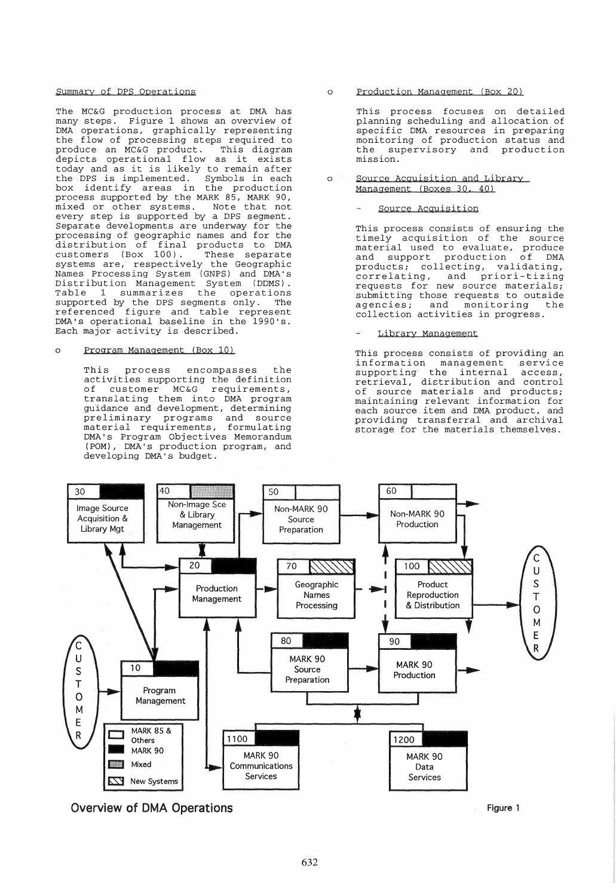### Summary of DPS Operations

The MC&G production process at DMA has many steps. Figure 1 shows an overview of DMA operations, graphically representing the flow of processing steps required to produce an MC&G product. This diagram depicts operational flow as it exists today and as it is likely to remain after the DPS is implemented. Symbols in each box identify areas in the production process supported by the MARK 85, MARK 90, mixed or other systems. Note that not every step is supported by a DPS segment. Separate developments are underway for the processing of geographic names and for the distribution of final products to DMA customers (Box 100). These separate systems are, respectively the Geographic Names Processing System (GNPS) and DMA's Distribution Management System (DDMS). Table 1 summarizes the operations supported by the DPS segments only. The referenced figure and table represent DMA's operational baseline in the 1990's. Each major activity is described.

### o Program Management (Box 10)

This process encompasses the activities supporting the definition of customer MC&G requirements, translating them into DMA program guidance and development, determining preliminary programs and source material requirements, formulating DMA's Program Objectives Memorandum (POM) , DMA's production program, and developing DMA's budget.

o Production Management (Box 20)

> This process focuses on detailed planning scheduling and allocation of specific DMA resources in preparing monitoring of production status and the supervisory and production mission.

o Source Acquisition and Library Management (Boxes 30. 40)

### Source Acquisition

This process consists of ensuring the timely acquisition of the source material used to evaluate, produce and support production of DMA products; collecting, validating, correlating, and priori-tizing requests for new source materials; submitting those requests to outside<br>agencies; and monitoring the and monitoring collection activities in progress.

### Library Management

This process consists of providing an information management service<br>supporting the internal access.  $supporting$  the internal papporting the internal access, of source materials and products; maintaining relevant information for each source item and DMA product, and providing transferral and archival storage for the materials themselves.



Overview of DMA Operations

Figure 1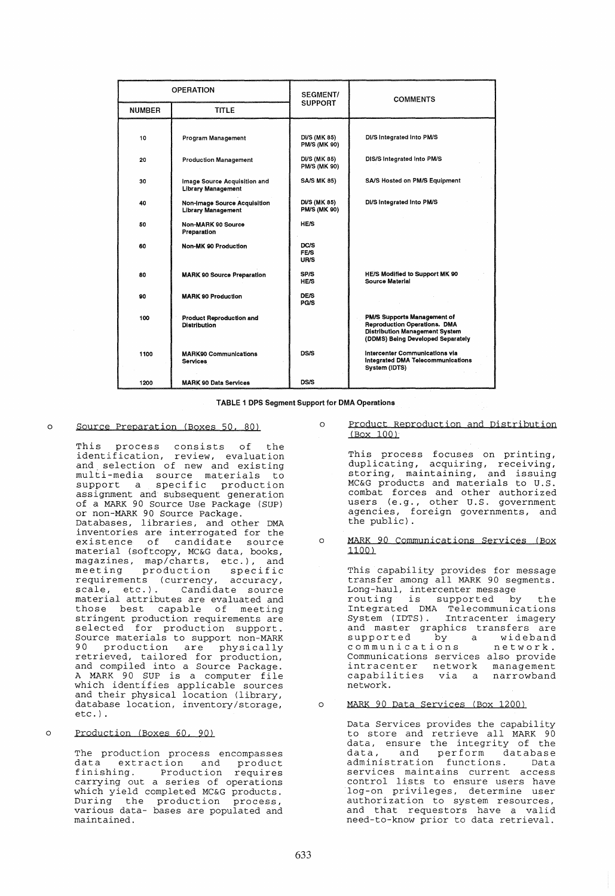| <b>OPERATION</b> |                                                           | <b>SEGMENT/</b>                            | <b>COMMENTS</b>                                                                                                                                  |  |
|------------------|-----------------------------------------------------------|--------------------------------------------|--------------------------------------------------------------------------------------------------------------------------------------------------|--|
| <b>NUMBER</b>    | <b>TITLE</b>                                              | <b>SUPPORT</b>                             |                                                                                                                                                  |  |
| 10               | Program Management                                        | DI/S (MK 85)<br><b>PM/S (MK 90)</b>        | DI/S Integrated Into PM/S                                                                                                                        |  |
| 20               | <b>Production Management</b>                              | <b>DI/S (MK 85)</b><br><b>PM/S (MK 90)</b> | DIS/S Integrated Into PM/S                                                                                                                       |  |
| 30               | Image Source Acquisition and<br><b>Library Management</b> | <b>SA/S MK 85)</b>                         | SA/S Hosted on PM/S Equipment                                                                                                                    |  |
| 40               | Non-Image Source Acquisition<br><b>Library Management</b> | <b>DI/S (MK 85)</b><br><b>PM/S (MK 90)</b> | DI/S Integrated Into PM/S                                                                                                                        |  |
| 50               | Non-MARK 90 Source<br>Preparation                         | <b>HE/S</b>                                |                                                                                                                                                  |  |
| 60               | Non-MK 90 Production                                      | DC/S<br>FE/S<br>UR/S                       |                                                                                                                                                  |  |
| 80               | <b>MARK 90 Source Preparation</b>                         | SP/S<br><b>HE/S</b>                        | <b>HE/S Modified to Support MK 90</b><br>Source Material                                                                                         |  |
| 90               | <b>MARK 90 Production</b>                                 | <b>DE/S</b><br><b>PG/S</b>                 |                                                                                                                                                  |  |
| 100              | Product Reproduction and<br><b>Distribution</b>           |                                            | PM/S Supports Management of<br><b>Reproduction Operations. DMA</b><br><b>Distribution Management System</b><br>(DDMS) Being Developed Separately |  |
| 1100             | <b>MARK90 Communications</b><br><b>Services</b>           | <b>DS/S</b>                                | Intercenter Communications via<br>Integrated DMA Telecommunications<br>System (IDTS)                                                             |  |
| 1200             | <b>MARK 90 Data Services</b>                              | DS/S                                       |                                                                                                                                                  |  |

TABLE 1 DPS Segment Support for DMA Operations

#### o Source Preparation (Boxes 50. 80)

This process consists of the identification, review, evaluation and selection of new and existing multi-media source materials to mater media source materials to assignment and subsequent generation of a MARK 90 Source Use Package (SUP) or non-MARK 90 Source Package. Databases, libraries, and other DMA inventories are interrogated for the material (softcopy, MC&G data, books, maccrial (sorecopy, newe data, books,<br>magazines, map/charts, etc.), and magazines, map/charts, ett.,, and<br>meeting production specific requirements (currency, accuracy, scale, etc.). Candidate source material attributes are evaluated and those best capable of meeting stringent production requirements are selected for production support. Source materials to support non-MARK 90 production are physically production are physically<br>retrieved, tailored for production, and compiled into a Source Package. A MARK 90 SUP is a computer file<br>which identifies applicable sources and their physical location (library, database location, inventory/storage, etc.) .

#### o Production (Boxes 60, 90)

The production process encompasses data extraction and product finishing. Production requires carrying out a series of operations which yield completed MC&G products. nition from compressor head products: various data- bases are populated and maintained.

o Product Reproduction and Distribution (Box 100)

> This process focuses on printing, duplicating, acquiring, receiving, storing, maintaining, and issuing MC&G products and materials to U.S. combat forces and other authorized<br>users (e.g., other U.S. government agencies, foreign governments, and the public) .

o MARK 90 Communications Services (Box .1100)

This capability provides for message transfer among all MARK 90 segments. Long-haul, intercenter message<br>routing is supported by Integrated DMA Telecommunications System (IDTS). Intracenter imagery and master graphics transfers are<br>supported by a wideband<br>communications network. supported by a<br>communications<br>communications Communications services also provide intracenter network management<br>capabilities via a narrowband capabilities via a network.

#### o MARK 90 Data Services (Box 1200)

Data Services provides the capability to store and retrieve all MARK 90 data, ensure the integrity of the data, ensure ene incegrity of the<br>data, and perform database administration functions. Data services maintains current access control lists to ensure users have log-on privileges, determine user authorization to system resources, and that requestors have a valid need-to-know prior to data retrieval.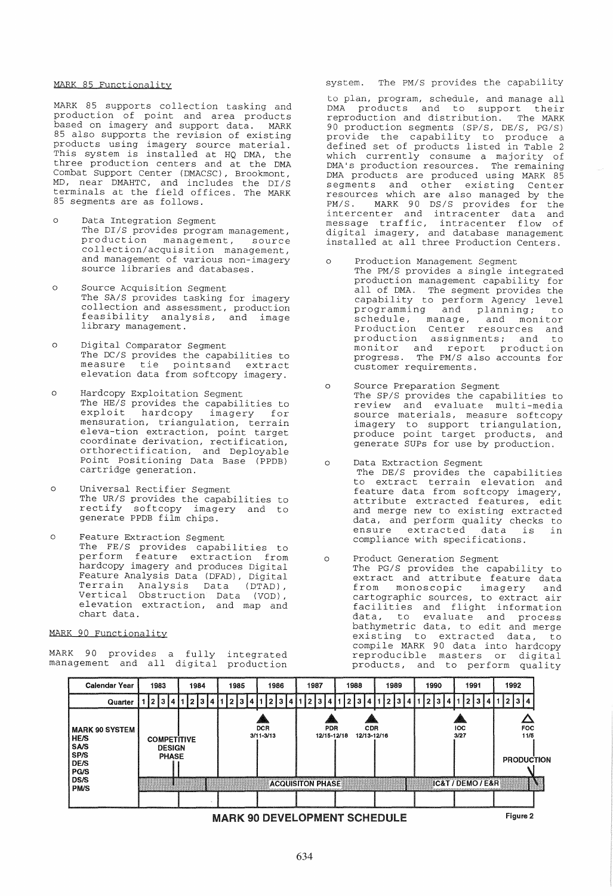### MARK 85 Functionality

MARK 85 supports collection tasking and production of point and area products based on imagery and support data. MARK 85 also supports the revision of existing products using imagery source material. This system is installed at HQ DMA, the three production centers and at the DMA Combat Support Center (DMACSC), Brookmont, MD, near DMAHTC, and includes the DI/S terminals at the field offices. The MARK 85 segments are as follows.

- o Data Integration Segment The DI/S provides program management, production management, source collection/acquisition management, and management of various non-imagery source libraries and databases.
- o Source Acquisition Segment The SA/S provides tasking for imagery collection and assessment, production feasibility analysis, and image library management.
- o Digital Comparator Segment The DC/S provides the capabilities to me BC/S provides the capabilities to elevation data from softcopy imagery.
- o Hardcopy Exploitation Segment The HE/S provides the capabilities to<br>exploit hardcopy imagery for imagery for mensuration, triangulation, terrain eleva-tion extraction, point target coordinate derivation, rectification, orthorectification, and Deployable Point Positioning Data Base (PPDB) cartridge generation.
- o Universal Rectifier Segment The UR/S provides the capabilities to rectify softcopy imagery and to generate PPDB film chips.
- o Feature Extraction Segment The FE/S provides capabilities to perform feature extraction from hardcopy imagery and produces Digital Feature Analysis Data (DFAD), Digital Terrain Analysis Data (DTAD) , Vertical Obstruction Data (VOD) , elevation extraction, and map and chart data.

### MARK 90 Functionality

MARK 90 provides a fully management and all digital integrated production

# system. The PM/S provides the capability

to plan, program, schedule, and manage all DMA products and to support their reproduction and distribution. The MARK 90 production segments (SP/S, DE/S, PG/S) provide the capability to produce a defined set of products listed in Table 2 which currently consume a majority of DMA's production resources. The remaining DMA products are produced using MARK 85 segments and other existing Center resources which are also managed by the PM/S. MARK 90 DS/S provides for the intercenter and intracenter data and message traffic, intracenter flow of digital imagery, and database management installed at all three Production Centers.

- o Production Management Segment
	- The PM/S provides a single integrated production management capability for all of DMA. The segment provides the capability to perform Agency level<br>programming and planning; to and planning; to programming and pianning, co Production Center resources and production assignments; and to production applymently, and to progress. The PM/S also accounts for customer requirements.
- o Source Preparation Segment The SP/S provides the capabilities to<br>review and evaluate multi-media source materials, measure softcopy imagery to support triangulation, produce point target products, and generate SUPs for use by production.
- o Data Extraction Segment The DE/S provides the capabilities to extract terrain elevation and feature data from softcopy imagery, attribute extracted features, edit and merge new to existing extracted data, and perform quality checks to ensure extracted data is in compliance with specifications.
- o Product Generation Segment The PG/S provides the capability to extract and attribute feature data from monoscopic imagery and cartographic sources, to extract air facilities and flight information data, to evaluate and process bathymetric data, to edit and merge existing to extracted data, to compile MARK 90 data into hardcopy reproducible masters or digital reproducible masters or digital<br>products, and to perform quality



634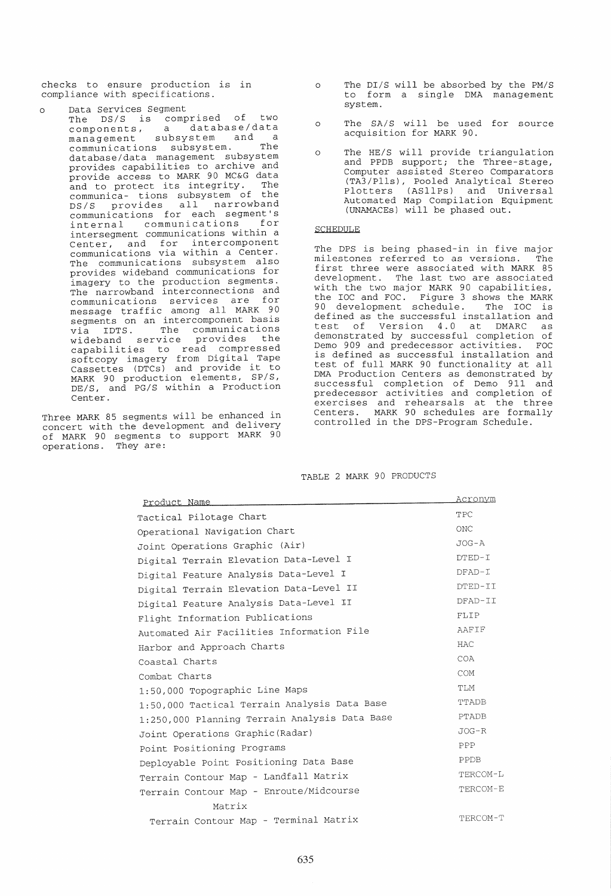checks to ensure production is in compliance with specifications.

Data Services Segment The DS/S is comprised of two components, a database/data management subsystem and a communications subsystem. The database / data management subsystem provides capabilities to archive and provide access to MARK 90 MC&G data and to protect its integrity. The communica- tions subsystem of the DS/S provides all narrowband communications for each segment's internal communications for<br>intersegment communications within a intersegment communications within a Center, and for intercomponent communications via within a Center. The communications subsystem also provides wideband communications for imagery to the production segments. The narrowband interconnections and communications services are for communications between all MARK 90 segments on an intercomponent basis via IDTS. The communications wideband service provides the capabilities to read compressed Cupuxilitions of the Digital Tape<br>Cassettes (DTCs) and provide it to<br>MARK 90 production elements, SP/S, DE/S, and PG/S within a Production Center.

Three MARK 85 segments will be enhanced in concert with the development and delivery of MARK 90 segments to support MARK 90 operations. They are:

- o The DI/S will be absorbed by the PM/S to form a single DMA management system.
- o The SA/S will be used for source acquisition for MARK 90.
- o The HE/S will provide triangulation and PPDB support; the Three-stage, Computer assisted Stereo Comparators (TA3/Plls), Pooled Analytical Stereo Plotters (ASIlPs) and Universal Automated Map Compilation Equipment (UNAMACEs) will be phased out.

## SCHEDULE

The DPS is being phased-in in five major milestones referred to as versions. The first three were associated with MARK 85 development. The last two are associated with the two major MARK 90 capabilities, the IOC and FOC. Figure 3 shows the MARK 90 development schedule. The IOC is defined as the successful installation and test of Version 4.0 at DMARC as demonstrated by successful completion of Demo 909 and predecessor activities. FOC is defined as successful installation and test of full MARK 90 functionality at all DMA Production Centers as demonstrated by successful completion of Demo 911 and predecessor activities and completion of exercises and rehearsals at the three Centers. MARK 90 schedules are formally controlled in the DPS-Program Schedule.

# TABLE 2 MARK 90 PRODUCTS

| <u>Product Name</u>                           | Acronym      |
|-----------------------------------------------|--------------|
| Tactical Pilotage Chart                       | TPC          |
| Operational Navigation Chart                  | <b>ONC</b>   |
| Joint Operations Graphic (Air)                | $JOG - A$    |
| Digital Terrain Elevation Data-Level I        | DTED-I       |
| Digital Feature Analysis Data-Level I         | $DFAD-T$     |
| Digital Terrain Elevation Data-Level II       | DTED-II      |
| Digital Feature Analysis Data-Level II        | DFAD-II      |
| Flight Information Publications               | <b>FLIP</b>  |
| Automated Air Facilities Information File     | AAFIF        |
| Harbor and Approach Charts                    | <b>HAC</b>   |
| Coastal Charts                                | COA          |
| Combat Charts                                 | COM          |
| 1:50,000 Topographic Line Maps                | <b>TLM</b>   |
| 1:50,000 Tactical Terrain Analysis Data Base  | <b>TTADB</b> |
| 1:250,000 Planning Terrain Analysis Data Base | PTADB        |
| Joint Operations Graphic (Radar)              | $JOG-R$      |
| Point Positioning Programs                    | PPP          |
| Deployable Point Positioning Data Base        | PPDB         |
| Terrain Contour Map - Landfall Matrix         | TERCOM-L     |
| Terrain Contour Map - Enroute/Midcourse       | TERCOM-E     |
| Matrix                                        |              |
| Terrain Contour Map - Terminal Matrix         | TERCOM-T     |